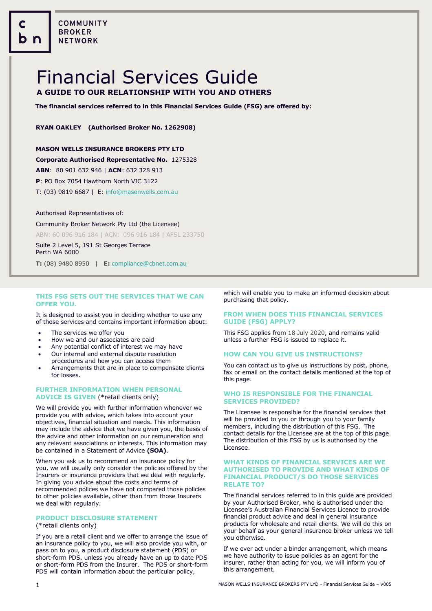COMMUNITY **BROKER NETWORK** 

# Financial Services Guide **A GUIDE TO OUR RELATIONSHIP WITH YOU AND OTHERS**

**The financial services referred to in this Financial Services Guide (FSG) are offered by:**

# **RYAN OAKLEY (Authorised Broker No. 1262908)**

# **MASON WELLS INSURANCE BROKERS PTY LTD**

### **Corporate Authorised Representative No.** 1275328

**ABN**: 80 901 632 946 | **ACN**: 632 328 913

**P**: PO Box 7054 Hawthorn North VIC 3122

T: (03) 9819 6687 | E[: info@masonwells.com.au](mailto:info@masonwells.com.au)

#### Authorised Representatives of:

Community Broker Network Pty Ltd (the Licensee) ABN: 60 096 916 184 | ACN: 096 916 184 | AFSL 233750

Suite 2 Level 5, 191 St Georges Terrace Perth WA 6000

**T:** (08) 9480 8950 | **E:** [compliance@cbnet.com.au](mailto:queries@naswg.com.au) 

# **THIS FSG SETS OUT THE SERVICES THAT WE CAN OFFER YOU.**

It is designed to assist you in deciding whether to use any of those services and contains important information about:

- The services we offer you
- How we and our associates are paid
- Any potential conflict of interest we may have
- Our internal and external dispute resolution procedures and how you can access them
- Arrangements that are in place to compensate clients for losses.

# **FURTHER INFORMATION WHEN PERSONAL ADVICE IS GIVEN** (\*retail clients only)

We will provide you with further information whenever we provide you with advice, which takes into account your objectives, financial situation and needs. This information may include the advice that we have given you, the basis of the advice and other information on our remuneration and any relevant associations or interests. This information may be contained in a Statement of Advice **(SOA)**.

When you ask us to recommend an insurance policy for you, we will usually only consider the policies offered by the Insurers or insurance providers that we deal with regularly. In giving you advice about the costs and terms of recommended polices we have not compared those policies to other policies available, other than from those Insurers we deal with regularly.

# **PRODUCT DISCLOSURE STATEMENT**

# (\*retail clients only)

If you are a retail client and we offer to arrange the issue of an insurance policy to you, we will also provide you with, or pass on to you, a product disclosure statement (PDS) or short-form PDS, unless you already have an up to date PDS or short-form PDS from the Insurer. The PDS or short-form PDS will contain information about the particular policy,

which will enable you to make an informed decision about purchasing that policy.

# **FROM WHEN DOES THIS FINANCIAL SERVICES GUIDE (FSG) APPLY?**

This FSG applies from 18 July 2020, and remains valid unless a further FSG is issued to replace it.

# **HOW CAN YOU GIVE US INSTRUCTIONS?**

You can contact us to give us instructions by post, phone, fax or email on the contact details mentioned at the top of this page.

### **WHO IS RESPONSIBLE FOR THE FINANCIAL SERVICES PROVIDED?**

The Licensee is responsible for the financial services that will be provided to you or through you to your family members, including the distribution of this FSG. The contact details for the Licensee are at the top of this page. The distribution of this FSG by us is authorised by the Licensee.

### **WHAT KINDS OF FINANCIAL SERVICES ARE WE AUTHORISED TO PROVIDE AND WHAT KINDS OF FINANCIAL PRODUCT/S DO THOSE SERVICES RELATE TO?**

The financial services referred to in this guide are provided by your Authorised Broker, who is authorised under the Licensee's Australian Financial Services Licence to provide financial product advice and deal in general insurance products for wholesale and retail clients. We will do this on your behalf as your general insurance broker unless we tell you otherwise.

If we ever act under a binder arrangement, which means we have authority to issue policies as an agent for the insurer, rather than acting for you, we will inform you of this arrangement.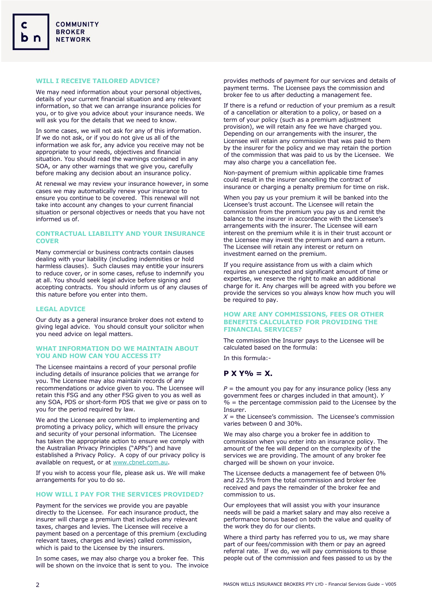# **WILL I RECEIVE TAILORED ADVICE?**

We may need information about your personal objectives, details of your current financial situation and any relevant information, so that we can arrange insurance policies for you, or to give you advice about your insurance needs. We will ask you for the details that we need to know.

In some cases, we will not ask for any of this information. If we do not ask, or if you do not give us all of the information we ask for, any advice you receive may not be appropriate to your needs, objectives and financial situation. You should read the warnings contained in any SOA, or any other warnings that we give you, carefully before making any decision about an insurance policy.

At renewal we may review your insurance however, in some cases we may automatically renew your insurance to ensure you continue to be covered. This renewal will not take into account any changes to your current financial situation or personal objectives or needs that you have not informed us of.

# **CONTRACTUAL LIABILITY AND YOUR INSURANCE COVER**

Many commercial or business contracts contain clauses dealing with your liability (including indemnities or hold harmless clauses). Such clauses may entitle your insurers to reduce cover, or in some cases, refuse to indemnify you at all. You should seek legal advice before signing and accepting contracts. You should inform us of any clauses of this nature before you enter into them.

### **LEGAL ADVICE**

Our duty as a general insurance broker does not extend to giving legal advice. You should consult your solicitor when you need advice on legal matters.

### **WHAT INFORMATION DO WE MAINTAIN ABOUT YOU AND HOW CAN YOU ACCESS IT?**

The Licensee maintains a record of your personal profile including details of insurance policies that we arrange for you. The Licensee may also maintain records of any recommendations or advice given to you. The Licensee will retain this FSG and any other FSG given to you as well as any SOA, PDS or short-form PDS that we give or pass on to you for the period required by law.

We and the Licensee are committed to implementing and promoting a privacy policy, which will ensure the privacy and security of your personal information. The Licensee has taken the appropriate action to ensure we comply with the Australian Privacy Principles ("APPs") and have established a Privacy Policy. A copy of our privacy policy is available on request, or at [www.cbnet.com.au.](http://www.cbn.com.au/)

If you wish to access your file, please ask us. We will make arrangements for you to do so.

### **HOW WILL I PAY FOR THE SERVICES PROVIDED?**

Payment for the services we provide you are payable directly to the Licensee. For each insurance product, the insurer will charge a premium that includes any relevant taxes, charges and levies. The Licensee will receive a payment based on a percentage of this premium (excluding relevant taxes, charges and levies) called commission, which is paid to the Licensee by the insurers.

In some cases, we may also charge you a broker fee. This will be shown on the invoice that is sent to you. The invoice

provides methods of payment for our services and details of payment terms. The Licensee pays the commission and broker fee to us after deducting a management fee.

If there is a refund or reduction of your premium as a result of a cancellation or alteration to a policy, or based on a term of your policy (such as a premium adjustment provision), we will retain any fee we have charged you. Depending on our arrangements with the insurer, the Licensee will retain any commission that was paid to them by the insurer for the policy and we may retain the portion of the commission that was paid to us by the Licensee. We may also charge you a cancellation fee.

Non-payment of premium within applicable time frames could result in the insurer cancelling the contract of insurance or charging a penalty premium for time on risk.

When you pay us your premium it will be banked into the Licensee's trust account. The Licensee will retain the commission from the premium you pay us and remit the balance to the insurer in accordance with the Licensee's arrangements with the insurer. The Licensee will earn interest on the premium while it is in their trust account or the Licensee may invest the premium and earn a return. The Licensee will retain any interest or return on investment earned on the premium.

If you require assistance from us with a claim which requires an unexpected and significant amount of time or expertise, we reserve the right to make an additional charge for it. Any charges will be agreed with you before we provide the services so you always know how much you will be required to pay.

### **HOW ARE ANY COMMISSIONS, FEES OR OTHER BENEFITS CALCULATED FOR PROVIDING THE FINANCIAL SERVICES?**

The commission the Insurer pays to the Licensee will be calculated based on the formula:

In this formula:-

# **P X Y% = X.**

 $P =$  the amount you pay for any insurance policy (less any government fees or charges included in that amount). *Y %* = the percentage commission paid to the Licensee by the Insurer.

 $X =$  the Licensee's commission. The Licensee's commission varies between 0 and 30%.

We may also charge you a broker fee in addition to commission when you enter into an insurance policy. The amount of the fee will depend on the complexity of the services we are providing. The amount of any broker fee charged will be shown on your invoice.

The Licensee deducts a management fee of between 0% and 22.5% from the total commission and broker fee received and pays the remainder of the broker fee and commission to us.

Our employees that will assist you with your insurance needs will be paid a market salary and may also receive a performance bonus based on both the value and quality of the work they do for our clients.

Where a third party has referred you to us, we may share part of our fees/commission with them or pay an agreed referral rate. If we do, we will pay commissions to those people out of the commission and fees passed to us by the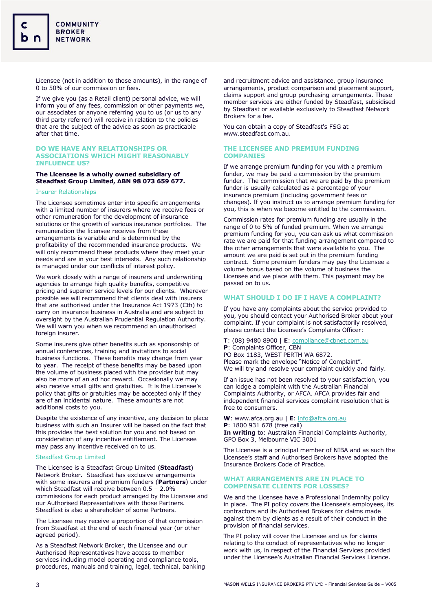Licensee (not in addition to those amounts), in the range of 0 to 50% of our commission or fees.

If we give you (as a Retail client) personal advice, we will inform you of any fees, commission or other payments we, our associates or anyone referring you to us (or us to any third party referrer) will receive in relation to the policies that are the subject of the advice as soon as practicable after that time.

# **DO WE HAVE ANY RELATIONSHIPS OR ASSOCIATIONS WHICH MIGHT REASONABLY INFLUENCE US?**

# **The Licensee is a wholly owned subsidiary of Steadfast Group Limited, ABN 98 073 659 677.**

### Insurer Relationships

The Licensee sometimes enter into specific arrangements with a limited number of insurers where we receive fees or other remuneration for the development of insurance solutions or the growth of various insurance portfolios. The remuneration the licensee receives from these arrangements is variable and is determined by the profitability of the recommended insurance products. We will only recommend these products where they meet your needs and are in your best interests. Any such relationship is managed under our conflicts of interest policy.

We work closely with a range of insurers and underwriting agencies to arrange high quality benefits, competitive pricing and superior service levels for our clients. Wherever possible we will recommend that clients deal with insurers that are authorised under the Insurance Act 1973 (Cth) to carry on insurance business in Australia and are subject to oversight by the Australian Prudential Regulation Authority. We will warn you when we recommend an unauthorised foreign insurer.

Some insurers give other benefits such as sponsorship of annual conferences, training and invitations to social business functions. These benefits may change from year to year. The receipt of these benefits may be based upon the volume of business placed with the provider but may also be more of an ad hoc reward. Occasionally we may also receive small gifts and gratuities. It is the Licensee's policy that gifts or gratuities may be accepted only if they are of an incidental nature. These amounts are not additional costs to you.

Despite the existence of any incentive, any decision to place business with such an Insurer will be based on the fact that this provides the best solution for you and not based on consideration of any incentive entitlement. The Licensee may pass any incentive received on to us.

#### Steadfast Group Limited

The Licensee is a Steadfast Group Limited (**Steadfast**) Network Broker. Steadfast has exclusive arrangements with some insurers and premium funders (**Partners**) under which Steadfast will receive between 0.5 – 2.0% commissions for each product arranged by the Licensee and our Authorised Representatives with those Partners. Steadfast is also a shareholder of some Partners.

The Licensee may receive a proportion of that commission from Steadfast at the end of each financial year (or other agreed period).

As a Steadfast Network Broker, the Licensee and our Authorised Representatives have access to member services including model operating and compliance tools, procedures, manuals and training, legal, technical, banking

and recruitment advice and assistance, group insurance arrangements, product comparison and placement support, claims support and group purchasing arrangements. These member services are either funded by Steadfast, subsidised by Steadfast or available exclusively to Steadfast Network Brokers for a fee.

You can obtain a copy of Steadfast's FSG at www.steadfast.com.au.

# **THE LICENSEE AND PREMIUM FUNDING COMPANIES**

If we arrange premium funding for you with a premium funder, we may be paid a commission by the premium funder. The commission that we are paid by the premium funder is usually calculated as a percentage of your insurance premium (including government fees or changes). If you instruct us to arrange premium funding for you, this is when we become entitled to the commission.

Commission rates for premium funding are usually in the range of 0 to 5% of funded premium. When we arrange premium funding for you, you can ask us what commission rate we are paid for that funding arrangement compared to the other arrangements that were available to you. The amount we are paid is set out in the premium funding contract. Some premium funders may pay the Licensee a volume bonus based on the volume of business the Licensee and we place with them. This payment may be passed on to us.

# **WHAT SHOULD I DO IF I HAVE A COMPLAINT?**

If you have any complaints about the service provided to you, you should contact your Authorised Broker about your complaint. If your complaint is not satisfactorily resolved, please contact the Licensee's Complaints Officer:

**T**: (08) 9480 8900 | **E**[: compliance@cbnet.com.au](mailto:compliance@cbnet.com.au?subject=Financial%20Services%20Guide) **P**: Complaints Officer, CBN PO Box 1183, WEST PERTH WA 6872. Please mark the envelope "Notice of Complaint". We will try and resolve your complaint quickly and fairly.

If an issue has not been resolved to your satisfaction, you can lodge a complaint with the Australian Financial Complaints Authority, or AFCA. AFCA provides fair and independent financial services complaint resolution that is free to consumers.

**W**: www.afca.org.au | **E**: [info@afca.org.au](mailto:info@afca.org.au) **P**: 1800 931 678 (free call) **In writing** to: Australian Financial Complaints Authority, GPO Box 3, Melbourne VIC 3001

The Licensee is a principal member of NIBA and as such the Licensee's staff and Authorised Brokers have adopted the Insurance Brokers Code of Practice.

### **WHAT ARRANGEMENTS ARE IN PLACE TO COMPENSATE CLIENTS FOR LOSSES?**

We and the Licensee have a Professional Indemnity policy in place. The PI policy covers the Licensee's employees, its contractors and its Authorised Brokers for claims made against them by clients as a result of their conduct in the provision of financial services.

The PI policy will cover the Licensee and us for claims relating to the conduct of representatives who no longer work with us, in respect of the Financial Services provided under the Licensee's Australian Financial Services Licence.